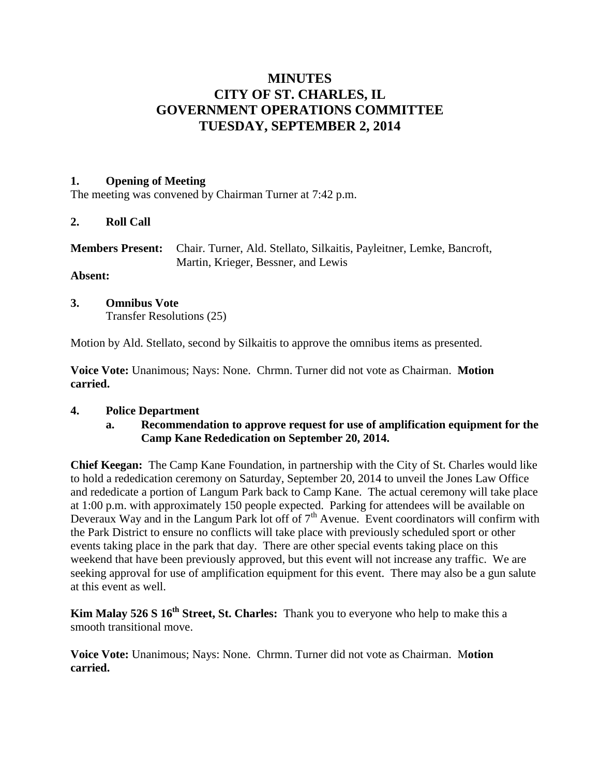# **MINUTES CITY OF ST. CHARLES, IL GOVERNMENT OPERATIONS COMMITTEE TUESDAY, SEPTEMBER 2, 2014**

### **1. Opening of Meeting**

The meeting was convened by Chairman Turner at 7:42 p.m.

#### **2. Roll Call**

| <b>Members Present:</b> Chair. Turner, Ald. Stellato, Silkaitis, Payleitner, Lemke, Bancroft, |
|-----------------------------------------------------------------------------------------------|
| Martin, Krieger, Bessner, and Lewis                                                           |

## **Absent:**

#### **3. Omnibus Vote** Transfer Resolutions (25)

Motion by Ald. Stellato, second by Silkaitis to approve the omnibus items as presented.

**Voice Vote:** Unanimous; Nays: None. Chrmn. Turner did not vote as Chairman. **Motion carried.**

#### **4. Police Department**

#### **a. Recommendation to approve request for use of amplification equipment for the Camp Kane Rededication on September 20, 2014.**

**Chief Keegan:** The Camp Kane Foundation, in partnership with the City of St. Charles would like to hold a rededication ceremony on Saturday, September 20, 2014 to unveil the Jones Law Office and rededicate a portion of Langum Park back to Camp Kane. The actual ceremony will take place at 1:00 p.m. with approximately 150 people expected. Parking for attendees will be available on Deveraux Way and in the Langum Park lot off of  $7<sup>th</sup>$  Avenue. Event coordinators will confirm with the Park District to ensure no conflicts will take place with previously scheduled sport or other events taking place in the park that day. There are other special events taking place on this weekend that have been previously approved, but this event will not increase any traffic. We are seeking approval for use of amplification equipment for this event. There may also be a gun salute at this event as well.

**Kim Malay 526 S 16<sup>th</sup> Street, St. Charles:** Thank you to everyone who help to make this a smooth transitional move.

**Voice Vote:** Unanimous; Nays: None. Chrmn. Turner did not vote as Chairman. M**otion carried.**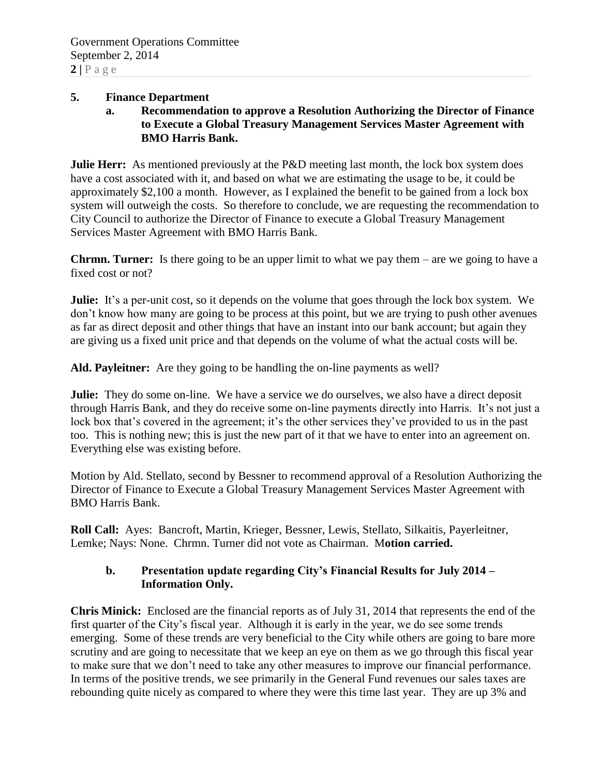#### **5. Finance Department**

**a. Recommendation to approve a Resolution Authorizing the Director of Finance to Execute a Global Treasury Management Services Master Agreement with BMO Harris Bank.**

**Julie Herr:** As mentioned previously at the P&D meeting last month, the lock box system does have a cost associated with it, and based on what we are estimating the usage to be, it could be approximately \$2,100 a month. However, as I explained the benefit to be gained from a lock box system will outweigh the costs. So therefore to conclude, we are requesting the recommendation to City Council to authorize the Director of Finance to execute a Global Treasury Management Services Master Agreement with BMO Harris Bank.

**Chrmn. Turner:** Is there going to be an upper limit to what we pay them – are we going to have a fixed cost or not?

**Julie:** It's a per-unit cost, so it depends on the volume that goes through the lock box system. We don't know how many are going to be process at this point, but we are trying to push other avenues as far as direct deposit and other things that have an instant into our bank account; but again they are giving us a fixed unit price and that depends on the volume of what the actual costs will be.

**Ald. Payleitner:** Are they going to be handling the on-line payments as well?

**Julie:** They do some on-line. We have a service we do ourselves, we also have a direct deposit through Harris Bank, and they do receive some on-line payments directly into Harris. It's not just a lock box that's covered in the agreement; it's the other services they've provided to us in the past too. This is nothing new; this is just the new part of it that we have to enter into an agreement on. Everything else was existing before.

Motion by Ald. Stellato, second by Bessner to recommend approval of a Resolution Authorizing the Director of Finance to Execute a Global Treasury Management Services Master Agreement with BMO Harris Bank.

**Roll Call:** Ayes: Bancroft, Martin, Krieger, Bessner, Lewis, Stellato, Silkaitis, Payerleitner, Lemke; Nays: None. Chrmn. Turner did not vote as Chairman. M**otion carried.**

## **b. Presentation update regarding City's Financial Results for July 2014 – Information Only.**

**Chris Minick:** Enclosed are the financial reports as of July 31, 2014 that represents the end of the first quarter of the City's fiscal year. Although it is early in the year, we do see some trends emerging. Some of these trends are very beneficial to the City while others are going to bare more scrutiny and are going to necessitate that we keep an eye on them as we go through this fiscal year to make sure that we don't need to take any other measures to improve our financial performance. In terms of the positive trends, we see primarily in the General Fund revenues our sales taxes are rebounding quite nicely as compared to where they were this time last year. They are up 3% and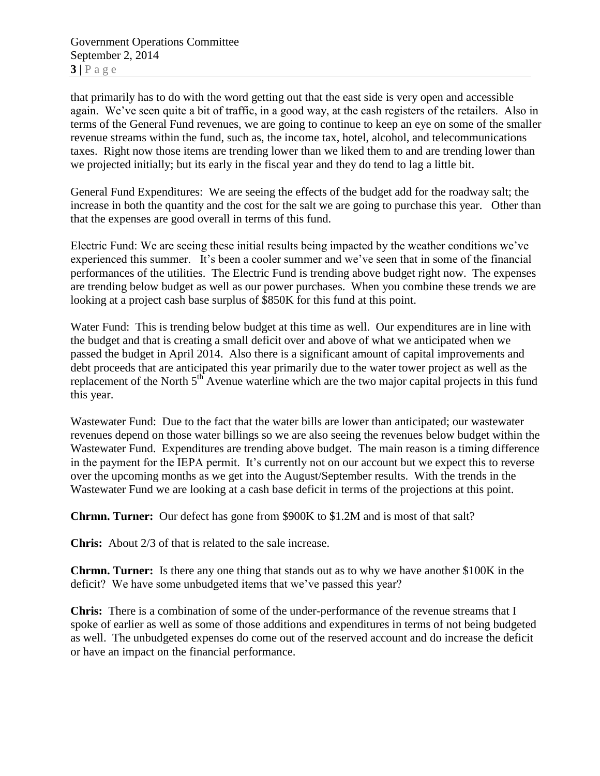Government Operations Committee September 2, 2014  $3|P \text{ age}$ 

that primarily has to do with the word getting out that the east side is very open and accessible again. We've seen quite a bit of traffic, in a good way, at the cash registers of the retailers. Also in terms of the General Fund revenues, we are going to continue to keep an eye on some of the smaller revenue streams within the fund, such as, the income tax, hotel, alcohol, and telecommunications taxes. Right now those items are trending lower than we liked them to and are trending lower than we projected initially; but its early in the fiscal year and they do tend to lag a little bit.

General Fund Expenditures: We are seeing the effects of the budget add for the roadway salt; the increase in both the quantity and the cost for the salt we are going to purchase this year. Other than that the expenses are good overall in terms of this fund.

Electric Fund: We are seeing these initial results being impacted by the weather conditions we've experienced this summer. It's been a cooler summer and we've seen that in some of the financial performances of the utilities. The Electric Fund is trending above budget right now. The expenses are trending below budget as well as our power purchases. When you combine these trends we are looking at a project cash base surplus of \$850K for this fund at this point.

Water Fund: This is trending below budget at this time as well. Our expenditures are in line with the budget and that is creating a small deficit over and above of what we anticipated when we passed the budget in April 2014. Also there is a significant amount of capital improvements and debt proceeds that are anticipated this year primarily due to the water tower project as well as the replacement of the North 5<sup>th</sup> Avenue waterline which are the two major capital projects in this fund this year.

Wastewater Fund: Due to the fact that the water bills are lower than anticipated; our wastewater revenues depend on those water billings so we are also seeing the revenues below budget within the Wastewater Fund. Expenditures are trending above budget. The main reason is a timing difference in the payment for the IEPA permit. It's currently not on our account but we expect this to reverse over the upcoming months as we get into the August/September results. With the trends in the Wastewater Fund we are looking at a cash base deficit in terms of the projections at this point.

**Chrmn. Turner:** Our defect has gone from \$900K to \$1.2M and is most of that salt?

**Chris:** About 2/3 of that is related to the sale increase.

**Chrmn. Turner:** Is there any one thing that stands out as to why we have another \$100K in the deficit? We have some unbudgeted items that we've passed this year?

**Chris:** There is a combination of some of the under-performance of the revenue streams that I spoke of earlier as well as some of those additions and expenditures in terms of not being budgeted as well. The unbudgeted expenses do come out of the reserved account and do increase the deficit or have an impact on the financial performance.